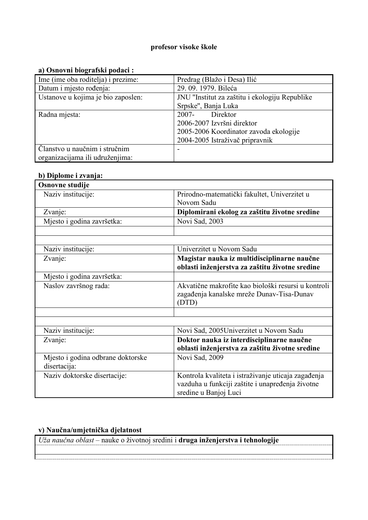## **profesor visoke škole**

#### **a) Osnovni biografski podaci :**

| Ime (ime oba roditelja) i prezime: | Predrag (Blažo i Desa) Ilić                    |
|------------------------------------|------------------------------------------------|
| Datum i mjesto rođenja:            | 29.09.1979. Bileća                             |
| Ustanove u kojima je bio zaposlen: | JNU "Institut za zaštitu i ekologiju Republike |
|                                    | Srpske", Banja Luka                            |
| Radna mjesta:                      | 2007-<br>Direktor                              |
|                                    | 2006-2007 Izvršni direktor                     |
|                                    | 2005-2006 Koordinator zavoda ekologije         |
|                                    | 2004-2005 Istraživač pripravnik                |
| Članstvo u naučnim i stručnim      |                                                |
| organizacijama ili udruženjima:    |                                                |

# **b) Diplome i zvanja:**

| Osnovne studije                   |                                                     |
|-----------------------------------|-----------------------------------------------------|
| Naziv institucije:                | Prirodno-matematički fakultet, Univerzitet u        |
|                                   | Novom Sadu                                          |
| Zvanje:                           | Diplomirani ekolog za zaštitu životne sredine       |
| Mjesto i godina završetka:        | Novi Sad, 2003                                      |
|                                   |                                                     |
|                                   |                                                     |
| Naziv institucije:                | Univerzitet u Novom Sadu                            |
| Zvanje:                           | Magistar nauka iz multidisciplinarne naučne         |
|                                   | oblasti inženjerstva za zaštitu životne sredine     |
| Mjesto i godina završetka:        |                                                     |
| Naslov završnog rada:             | Akvatične makrofite kao biološki resursi u kontroli |
|                                   | zagađenja kanalske mreže Dunav-Tisa-Dunav           |
|                                   | (DTD)                                               |
|                                   |                                                     |
|                                   |                                                     |
| Naziv institucije:                | Novi Sad, 2005Univerzitet u Novom Sadu              |
| Zvanje:                           | Doktor nauka iz interdisciplinarne naučne           |
|                                   | oblasti inženjerstva za zaštitu životne sredine     |
| Mjesto i godina odbrane doktorske | Novi Sad, 2009                                      |
| disertacija:                      |                                                     |
| Naziv doktorske disertacije:      | Kontrola kvaliteta i istraživanje uticaja zagađenja |
|                                   | vazduha u funkciji zaštite i unapređenja životne    |
|                                   | sredine u Banjoj Luci                               |

# **v) Naučna/umjetnička djelatnost**

*Uža naučna oblast –* nauke o životnoj sredini i **druga inženjerstva i tehnologije**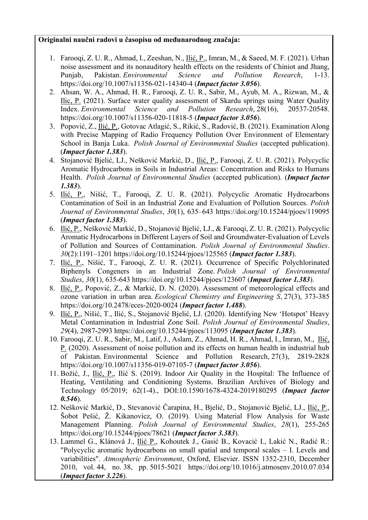#### **Originalni naučni radovi u časopisu od međunarodnog značaja:**

- 1. Farooqi, Z. U. R., Ahmad, I., Zeeshan, N., Ilić, P., Imran, M., & Saeed, M. F. (2021). Urban noise assessment and its nonauditory health effects on the residents of Chiniot and Jhang, Punjab, Pakistan. *Environmental Science and Pollution Research*, 1-13. https://doi.org/10.1007/s11356-021-14340-4 (*Impact factor 3.056*).
- 2. Ahsan, W. A., Ahmad, H. R., Farooqi, Z. U. R., Sabir, M., Ayub, M. A., Rizwan, M., & Ilic, P. (2021). Surface water quality assessment of Skardu springs using Water Quality Index. *Environmental Science and Pollution Research*, 28(16), 20537-20548. https://doi.org/10.1007/s11356-020-11818-5 (*Impact factor 3.056*).
- 3. Popović, Z., Ilić, P., Gotovac Atlagić, S., Rikić, S., Radović, B. (2021). Examination Along with Precise Mapping of Radio Frequency Pollution Over Environment of Elementary School in Banja Luka. *Polish Journal of Environmental Studies* (accepted publication). (*Impact factor 1.383*).
- 4. Stojanović Bjelić, LJ., Nešković Markić, D., Ilić, P., Farooqi, Z. U. R. (2021). Polycyclic Aromatic Hydrocarbons in Soils in Industrial Areas: Concentration and Risks to Humans Health. *Polish Journal of Environmental Studies* (accepted publication). (*Impact factor 1.383*).
- 5. Ilić, P., Nišić, T., Farooqi, Z. U. R. (2021). Polycyclic Aromatic Hydrocarbons Contamination of Soil in an Industrial Zone and Evaluation of Pollution Sources. *Polish Journal of Environmental Studies*, *30*(1), 635–643 https://doi.org/10.15244/pjoes/119095 (*Impact factor 1.383*).
- 6. Ilić, P., Nešković Markić, D., Stojanović Bjelić, LJ., & Farooqi, Z. U. R. (2021). Polycyclic Aromatic Hydrocarbons in Different Layers of Soil and Groundwater-Evaluation of Levels of Pollution and Sources of Contamination. *Polish Journal of Environmental Studies*. *30*(2):1191–1201 https://doi.org/10.15244/pjoes/125565 (*Impact factor 1.383*).
- 7. Ilić, P., Nišić, T., Farooqi, Z. U. R. (2021). Occurrence of Specific Polychlorinated Biphenyls Congeners in an Industrial Zone. *Polish Journal of Environmental Studies*, *30*(1), 635-643 https://doi.org/10.15244/pjoes/123607 (*Impact factor 1.383*).
- 8. Ilić, P., Popović, Z., & Markić, D. N. (2020). Assessment of meteorological effects and ozone variation in urban area. *Ecological Chemistry and Engineering S*, 27(3), 373-385 https://doi.org/10.2478/eces-2020-0024 (*Impact factor 1.488*).
- 9. Ilić, P., Nišić, T., Ilić, S., Stojanović Bjelić, LJ. (2020). Identifying New 'Hotspot' Heavy Metal Contamination in Industrial Zone Soil. *Polish Journal of Environmental Studies*, *29*(4), 2987-2993 https://doi.org/10.15244/pjoes/113095 (*Impact factor 1.383*).
- 10. Farooqi, Z. U. R., Sabir, M., Latif, J., Aslam, Z., Ahmad, H. R., Ahmad, I., Imran, M., Ilić, P. (2020). Assessment of noise pollution and its effects on human health in industrial hub of Pakistan. Environmental Science and Pollution Research, 27(3), 2819-2828 https://doi.org/10.1007/s11356-019-07105-7 (*Impact factor 3.056*).
- 11. [Božić](https://www.researchgate.net/scientific-contributions/2132718327_Jelena_Bozic), J., Ilić, P., [Ilić](https://www.researchgate.net/profile/Svetlana_Ilic3) S. (2019). Indoor Air Quality in the Hospital: The Influence of Heating, Ventilating and Conditioning Systems. Brazilian Archives of Biology and Technology 05/2019; 62(1-4)., DOI:10.1590/1678-4324-2019180295 (*Impact factor 0.546*).
- 12. Nešković Markić, D., Stevanović Čarapina, H., Bjelić, D., Stojanović Bjelić, LJ., Ilić, P., Šobot Pešić, Ž. Kikanovicz, O. (2019). Using Material Flow Analysis for Waste Management Planning. *Polish Journal of Environmental Studies*, *28*(1), 255-265 https://doi.org/10.15244/pjoes/78621 (*Impact factor 3.383*).
- 13. Lammel G., Klánová J., Ilić P., Kohoutek J., Gasić B., Kovacić I., Lakić N., Radić R.: "Polycyclic aromatic hydrocarbons on small spatial and temporal scales – I. Levels and variabilities". *Atmospheric Environment*, Oxford, Elsevier. ISSN 1352-2310, December 2010, vol. 44, no. 38, pp. 5015-5021 https://doi.org/10.1016/j.atmosenv.2010.07.034 (*Impact factor 3.226*).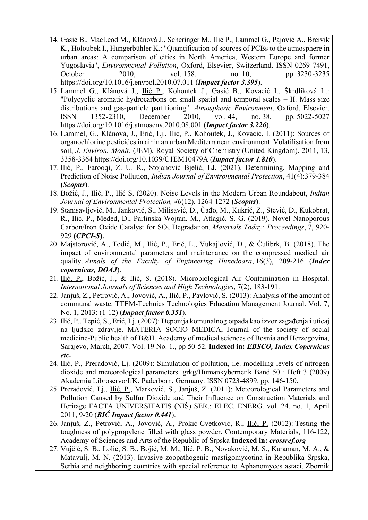- 14. Gasić B., MacLeod M., Klánová J., Scheringer M., Ilić P., Lammel G., Pajović A., Breivik K., Holoubek I., Hungerbühler K.: "Quantification of sources of PCBs to the atmosphere in urban areas: A comparison of cities in North America, Western Europe and former Yugoslavia", *Environmental Pollution*, Oxford, Elsevier, Switzerland. ISSN 0269-7491, October 2010, vol. 158, no. 10, pp. 3230-3235 https://doi.org/10.1016/j.envpol.2010.07.011 (*Impact factor 3.395*).
- 15. Lammel G., Klánová J., Ilić P., Kohoutek J., Gasić B., Kovacić I., Škrdlíková L.: "Polycyclic aromatic hydrocarbons on small spatial and temporal scales – II. Mass size distributions and gas-particle partitioning". *Atmospheric Environment*, Oxford, Elsevier. ISSN 1352-2310, December 2010, vol. 44, no. 38, pp. 5022-5027 https://doi.org/10.1016/j.atmosenv.2010.08.001 (*Impact factor 3.226*).
- 16. Lammel, G., Klánová, J., Erić, Lj., Ilić, P., Kohoutek, J., Kovacić, I. (2011): Sources of organochlorine pesticides in air in an urban Mediterranean environment: Volatilisation from soil, *J. Environ. Monit.* (JEM), [Royal Society of Chemistry](http://en.wikipedia.org/wiki/Royal_Society_of_Chemistry) [\(United Kingdom\)](http://en.wikipedia.org/wiki/United_Kingdom). 2011, 13, 3358-3364 https://doi.org/10.1039/C1EM10479A (*Impact factor 1.810*).
- 17. Ilić, P., Farooqi, Z. U. R., Stojanović Bjelić, LJ. (2021). Determining, Mapping and Prediction of Noise Pollution, *Indian Journal of Environmental Protection*, 41(4):379-384 **(***Scopus***)**.
- 18. [Božić](https://www.researchgate.net/scientific-contributions/2132718327_Jelena_Bozic), J., Ilić, P., [Ilić](https://www.researchgate.net/profile/Svetlana_Ilic3) S. (2020). Noise Levels in the Modern Urban Roundabout, *Indian Journal of Environmental Protection, 40*(12), 1264-1272 **(***Scopus***)**.
- 19. Stanisavljević, M., Janković, S., Milisavić, D., Čađo, M., Kukrić, Z., Stević, D., Kukobrat, R., Ilić, P., Međed, D., Parlinska Wojtan, M., Atlagić, S. G. (2019). Novel Nanoporous Carbon/Iron Oxide Catalyst for SO<sup>2</sup> Degradation. *Materials Today: Proceedings*, 7, 920- 929 **(***CPCI-S***)**.
- 20. Majstorović, A., Todić, M., *Ilić, P.*, Erić, L., Vukajlović, D., & Ćulibrk, B. (2018). The impact of environmental parameters and maintenance on the compressed medical air quality. *Annals of the Faculty of Engineering Hunedoara*, 16(3), 209-216 (*Index copernicus, DOAJ*).
- 21. Ilić, P., Božić, J., & Ilić, S. (2018). Microbiological Air Contamination in Hospital. *International Journals of Sciences and High Technologies*, 7(2), 183-191.
- 22. Janjuš, Z., Petrović, A., Jovović, A., Ilić, P., Pavlović, S. (2013): Analysis of the amount of communal waste. TTEM-Technics Technologies Education Management Journal. Vol. 7, No. 1, 2013: (1-12) (*Impact factor 0.351*).
- 23. Ilić, P., Tepić, S., Erić, Lj. (2007): Deponija komunalnog otpada kao izvor zagađenja i uticaj na lјudsko zdravlјe. MATERIA SOCIO MEDICA, Journal of the society of social medicine-Public health of B&H. Academy of medical sciences of Bosnia and Herzegovina, Sarajevo, March, 2007. Vol. 19 No. 1., pp 50-52. **Indexed in:** *EBSCO, Index Copernicus etc***.**
- 24. Ilić, P., Preradović, Lj. (2009): Simulation of pollution, i.e. modelling levels of nitrogen dioxide and meteorological parameters. grkg/Humankybernetik Band  $50 \cdot$  Heft 3 (2009) Akademia Libroservo/IfK. Paderborn, Germany. ISSN 0723-4899. pp. 146-150.
- 25. Preradović, Lj., Ilić, P., Marković, S., Janjuš, Z. (2011): Meteorological Parameters and Pollution Caused by Sulfur Dioxide and Their Influence on Construction Materials and Heritage FACTA UNIVERSITATIS (NIŠ) SER.: ELEC. ENERG. vol. 24, no. 1, April 2011, 9-20 (*BIČ Impact factor 0.441*).
- 26. Janjuš, Z., Petrović, A., Jovović, A., Prokić-Cvetković, R., Ilić, P. (2012): [Testing the](http://savremenimaterijali.info/sajt/doc/file/casopisi/3_1/17_Janjus.pdf)  [toughness of polypropylene filled with glass powder. Contemporary Materials, 116-122,](http://savremenimaterijali.info/sajt/doc/file/casopisi/3_1/17_Janjus.pdf)  [Academy of Sciences and Arts of the Republic](http://savremenimaterijali.info/sajt/doc/file/casopisi/3_1/17_Janjus.pdf) of Srpska **Indexed in:** *crossref.org*
- 27. Vujčić, S. B., Lolić, S. B., Bojić, M. M., Ilić, P. B., Novaković, M. S., Karaman, M. A., & Matavulj, M. N. (2013). Invasive zoopathogenic mastigomycotina in Republika Srpska, Serbia and neighboring countries with special reference to Aphanomyces astaci. Zbornik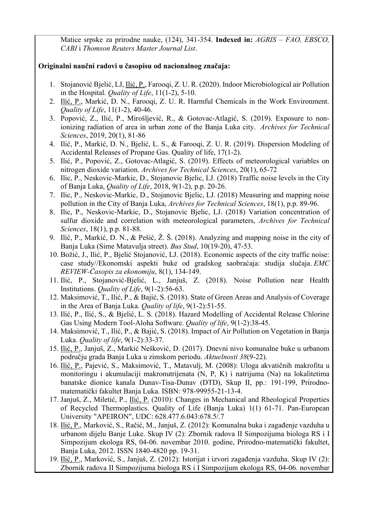Matice srpske za prirodne nauke, (124), 341-354. **Indexed in:** *AGRIS – FAO, EBSCO, CABI* i *Thomson Reuters Master Journal List*.

#### **Originalni naučni radovi u časopisu od nacionalnog značaja:**

- 1. Stojanović Bjelić, LJ, Ilić, P., Farooqi, Z. U. R. (2020). Indoor Microbiological air Pollution in the Hospital. *Quality of Life*, 11(1-2), 5-10.
- 2. Ilić, P., Markić, D. N., Farooqi, Z. U. R. Harmful Chemicals in the Work Environment. *Quality of Life*, 11(1-2), 40-46.
- 3. Popović, Z., Ilić, P., Mirošljević, R., & Gotovac-Atlagić, S. (2019). Exposure to nonionizing radiation of area in urban zone of the Banja Luka city. *Archives for Technical Sciences*, 2019, 20(1), 81-86
- 4. Ilić, P., Markić, D. N., Bjelić, L. S., & Farooqi, Z. U. R. (2019). Dispersion Modeling of Accidental Releases of Propane Gas. Quality of life, 17(1-2).
- 5. Ilić, P., Popović, Z., Gotovac-Atlagić, S. (2019). Effects of meteorological variables on nitrogen dioxide variation. *Archives for Technical Sciences*, 20(1), 65-72
- 6. Ilic, P., Neskovic-Markic, D., Stojanovic Bjelic, LJ. (2018) Traffic noise levels in the City of Banja Luka, *Quality of Life*, 2018, 9(1-2), p.p. 20-26.
- 7. Ilic, P., Neskovic-Markic, D., Stojanovic Bjelic, LJ. (2018) Measuring and mapping noise pollution in the City of Banja Luka, *Archives for Technical Sciences*, 18(1), p.p. 89-96.
- 8. Ilic, P., Neskovic-Markic, D., Stojanovic Bjelic, LJ. (2018) Variation concentration of sulfur dioxide and correlation with meteorological parameters, *Archives for Technical Sciences*, 18(1), p.p. 81-88.
- 9. Ilić, P., Markić, D. N., & Pešić, Ž. Š. (2018). Analyzing and mapping noise in the city of Banja Luka (Sime Matavulja street). *Bus Stud*, 10(19-20), 47-53.
- 10. Božić, J., Ilić, P., Bjelić Stojanović, LJ. (2018). Economic aspects of the city traffic noise: case study//Ekonomski aspekti buke od gradskog saobraćaja: studija slučaja. *EMC REVIEW-Časopis za ekonomiju*, 8(1), 134-149.
- 11. Ilić, P., Stojanović-Bjelić, L., Janjuš, Z. (2018). Noise Pollution near Health Institutions. *Quality of Life*, 9(1-2):56-63.
- 12. Maksimović, T., Ilić, P., & Bajić, S. (2018). State of Green Areas and Analysis of Coverage in the Area of Banja Luka. *Quality of life*, 9(1-2):51-55.
- 13. Ilić, P., Ilić, S., & Bjelić, L. S. (2018). Hazard Modelling of Accidental Release Chlorine Gas Using Modern Tool-Aloha Software. *Quality of life*, 9(1-2):38-45.
- 14. Maksimović, T., Ilić, P., & Bajić, S. (2018). Impact of Air Pollution on Vegetation in Banja Luka. *Quality of life*, 9(1-2):33-37.
- 15. Ilić, P., Janjuš, Z., Markić Nešković, D. (2017). Dnevni nivo komunalne buke u urbanom području grada Banja Luka u zimskom periodu. *Aktuelnosti 38*(9-22).
- 16. Ilić, P., Pajević, S., Maksimović, T., Matavulј, M. (2008): Uloga akvatičnih makrofita u monitoringu i akumulaciji makronutrijenata (N, P, K) i natrijuma (Na) na lokalitetima banatske dionice kanala Dunav-Tisa-Dunav (DTD), Skup II, pp.: 191-199, Prirodnomatematički fakultet Banja Luka. ISBN: 978-99955-21-13-4.
- 17. Janjuš, Z., Miletić, P., Ilić, P. (2010): [Changes in Mechanical and Rheological Properties](http://www.qol-au.com/node/38)  [of Recycled Thermoplastics. Quality of Life \(Banja Luka\) 1\(1\) 61-71. Pan-European](http://www.qol-au.com/node/38)  [University "APEIRON", UDC: 628.477.6.043:678.5/.7](http://www.qol-au.com/node/38)
- 18. Ilić, P., Marković, S., Račić, M., Janjuš, Z. (2012): Komunalna buka i zagađenje vazduha u urbanom dijelu Banje Luke. Skup IV (2): Zbornik radova II Simpozijuma biologa RS i I Simpozijum ekologa RS, 04-06. novembar 2010. godine, Prirodno-matematički fakultet, Banja Luka, 2012. ISSN 1840-4820 pp. 19-31.
- 19. Ilić, P., Marković, S., Janjuš, Z. (2012): Istorijat i izvori zagađenja vazduha. Skup IV (2): Zbornik radova II Simpozijuma biologa RS i I Simpozijum ekologa RS, 04-06. novembar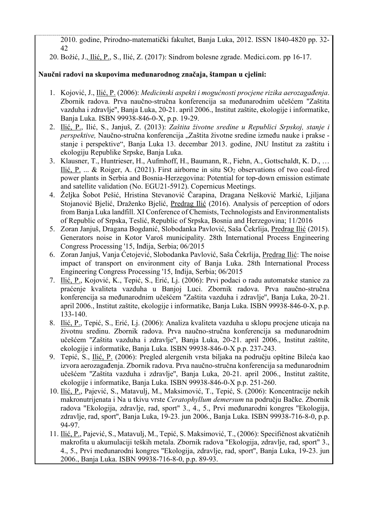2010. godine, Prirodno-matematički fakultet, Banja Luka, 2012. ISSN 1840-4820 pp. 32- 42

20. Božić, J., Ilić, P., S., Ilić, Z. (2017): Sindrom bolesne zgrade. Medici.com. pp 16-17.

# **Naučni radovi na skupovima međunarodnog značaja, štampan u cjelini:**

- 1. Kojović, J., Ilić, P. (2006): *Medicinski aspekti i mogućnosti procjene rizika aerozagađenja*. Zbornik radova. Prva naučno-stručna konferencija sa međunarodnim učešćem ''Zaštita vazduha i zdravlјe'', Banja Luka, 20-21. april 2006., Institut zaštite, ekologije i informatike, Banja Luka. ISBN 99938-846-0-X, p.p. 19-29.
- 2. Ilić, P., Ilić, S., Janjuš, Z. (2013): *Zaštita životne sredine u Republici Srpskoj, stanje i* perspektive, Naučno-stručna konferencija "Zaštita životne sredine između nauke i prakse stanje i perspektive", Banja Luka 13. decembar 2013. godine, JNU Institut za zaštitu i ekologiju Republike Srpske, Banja Luka.
- 3. Klausner, T., Huntrieser, H., Aufmhoff, H., Baumann, R., Fiehn, A., Gottschaldt, K. D., … Ilić, P. ... & Roiger, A. (2021). First airborne in situ SO<sup>2</sup> observations of two coal-fired power plants in Serbia and Bosnia-Herzegovina: Potential for top-down emission estimate and satellite validation (No. EGU21-5912). Copernicus Meetings.
- 4. Željka Šobot Pešić, Hristina Stevanović Čarapina, Dragana Nešković Markić, Ljiljana Stojanović Bjelić, Draženko Bjelić, Predrag Ilić (2016). Analysis of perception of odors from Banja Luka landfill. XI Conference of Chemists, Technologists and Environmentalists of Republic of Srpska, Teslić, Republic of Srpska, Bosnia and Herzegovina; 11/2016
- 5. Zoran Janjuš, Dragana Bogdanić, Slobodanka Pavlović, Saša Čekrlija, Predrag Ilić (2015). Generators noise in Kotor Varoš municipality. 28th International Process Engineering Congress Processing '15, Inđija, Serbia; 06/2015
- 6. Zoran Janjuš, Vanja Ćetojević, Slobodanka Pavlović, Saša Čekrlija, Predrag Ilić: The noise impact of transport on environment city of Banja Luka. 28th International Process Engineering Congress Processing '15, Inđija, Serbia; 06/2015
- 7. Ilić, P., Kojović, K., Tepić, S., Erić, Lj. (2006): Prvi podaci o radu automatske stanice za praćenje kvaliteta vazduha u Banjoj Luci. Zbornik radova. Prva naučno-stručna konferencija sa međunarodnim učešćem ''Zaštita vazduha i zdravlјe'', Banja Luka, 20-21. april 2006., Institut zaštite, ekologije i informatike, Banja Luka. ISBN 99938-846-0-X, p.p. 133-140.
- 8. Ilić, P., Tepić, S., Erić, Lj. (2006): Analiza kvaliteta vazduha u sklopu procjene uticaja na životnu sredinu. Zbornik radova. Prva naučno-stručna konferencija sa međunarodnim učešćem ''Zaštita vazduha i zdravlјe'', Banja Luka, 20-21. april 2006., Institut zaštite, ekologije i informatike, Banja Luka. ISBN 99938-846-0-X p.p. 237-243.
- 9. Tepić, S., Ilić, P. (2006): Pregled alergenih vrsta bilјaka na području opštine Bileća kao izvora aerozagađenja. Zbornik radova. Prva naučno-stručna konferencija sa međunarodnim učešćem ''Zaštita vazduha i zdravlјe'', Banja Luka, 20-21. april 2006., Institut zaštite, ekologije i informatike, Banja Luka. ISBN 99938-846-0-X p.p. 251-260.
- 10. Ilić, P., Pajević, S., Matavulј, M., Maksimović, T., Tepić, S. (2006): Koncentracije nekih makronutrijenata i Na u tkivu vrste *Ceratophyllum demersum* na području Bačke. Zbornik radova "Ekologija, zdravlјe, rad, sport" 3., 4., 5., Prvi međunarodni kongres ''Ekologija, zdravlјe, rad, sport'', Banja Luka, 19-23. jun 2006., Banja Luka. ISBN 99938-716-8-0, p.p. 94-97.
- 11. Ilić, P., Pajević, S., Matavulј, M., Tepić, S. Maksimović, T., (2006): Specifičnost akvatičnih makrofita u akumulaciji teških metala. Zbornik radova "Ekologija, zdravlјe, rad, sport" 3., 4., 5., Prvi međunarodni kongres ''Ekologija, zdravlјe, rad, sport'', Banja Luka, 19-23. jun 2006., Banja Luka. ISBN 99938-716-8-0, p.p. 89-93.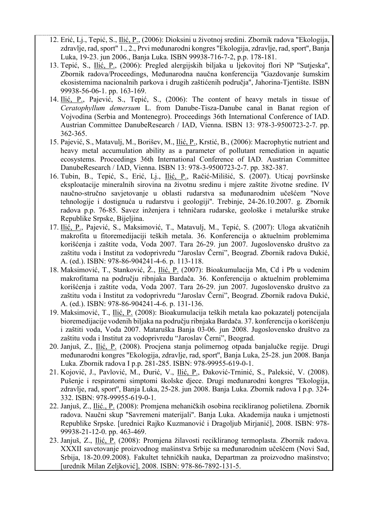- 12. Erić, Lj., Tepić, S., Ilić, P., (2006): Dioksini u životnoj sredini. Zbornik radova "Ekologija, zdravlјe, rad, sport" 1., 2., Prvi međunarodni kongres''Ekologija, zdravlјe, rad, sport'', Banja Luka, 19-23. jun 2006., Banja Luka. ISBN 99938-716-7-2, p.p. 178-181.
- 13. Tepić, S., Ilić, P., (2006): Pregled alergijskih bilјaka u lјekovitoj flori NP ''Sutjeska'', Zbornik radova/Proceedings, Međunarodna naučna konferencija ''Gazdovanje šumskim ekosistemima nacionalnih parkova i drugih zaštićenih područja'', Jahorina-Tjentište. ISBN 99938-56-06-1. pp. 163-169.
- 14. Ilić, P., Pajević, S., Tepić, S., (2006): The content of heavy metals in tissue of *Ceratophyllum demersum* L. from Danube-Tisza-Danube canal in Banat region of Vojvodina (Serbia and Montenegro). Proceedings 36th International Conference of IAD. Austrian Committee DanubeResearch / IAD, Vienna. ISBN 13: 978-3-9500723-2-7. pp. 362-365.
- 15. Pajević, S., Matavulj, M., Borišev, M., Ilić, P., Krstić, B., (2006): Macrophytic nutrient and heavy metal accumulation ability as a parameter of pollutant remediation in aquatic ecosystems. Proceedings 36th International Conference of IAD. Austrian Committee DanubeResearch / IAD, Vienna. ISBN 13: 978-3-9500723-2-7. pp. 382-387.
- 16. Tubin, B., Tepić, S., Erić, Lj., Ilić, P., Račić-Milišić, S. (2007). Uticaj površinske eksploatacije mineralnih sirovina na životnu sredinu i mjere zaštite životne sredine. IV naučno-stručno savjetovanje u oblasti rudarstva sa međunarodnim učešćem ''Nove tehnologije i dostignuća u rudarstvu i geologiji''. Trebinje, 24-26.10.2007. g. Zbornik radova p.p. 76-85. Savez inženjera i tehničara rudarske, geološke i metalurške struke Republike Srpske, Bijelјina.
- 17. Ilić, P., Pajević, S., Maksimović, T., Matavulј, M., Tepić, S. (2007): Uloga akvatičnih makrofita u fitoremedijaciji teških metala. 36. Konferencija o aktuelnim problemima korišćenja i zaštite voda, Voda 2007. Tara 26-29. jun 2007. Jugoslovensko društvo za zaštitu voda i Institut za vodoprivredu "Jaroslav Černi", Beograd. Zbornik radova Đukić, A. (ed.). ISBN: 978-86-904241-4-6. p. 113-118.
- 18. Maksimović, T., Stanković, Ž., Ilić, P. (2007): Bioakumulacija Mn, Cd i Pb u vodenim makrofitama na području ribnjaka Bardača. 36. Konferencija o aktuelnim problemima korišćenja i zaštite voda, Voda 2007. Tara 26-29. jun 2007. Jugoslovensko društvo za zaštitu voda i Institut za vodoprivredu "Jaroslav Černi", Beograd. Zbornik radova Đukić, A. (ed.). ISBN: 978-86-904241-4-6. p. 131-136.
- 19. Maksimović, T., Ilić, P. (2008): Bioakumulacija teških metala kao pokazatelј potencijala bioremedijacije vodenih bilјaka na području ribnjaka Bardača. 37. konferencija o korišćenju i zaštiti voda, Voda 2007. Mataruška Banja 03-06. jun 2008. Jugoslovensko društvo za zaštitu voda i Institut za vodoprivredu "Jaroslav Černi", Beograd.
- 20. Janjuš, Z., Ilić, P. (2008). Procjena stanja polimernog otpada banjalučke regije. Drugi međunarodni kongres ''Ekologija, zdravlјe, rad, sport'', Banja Luka, 25-28. jun 2008. Banja Luka. Zbornik radova I p.p. 281-285. ISBN: 978-99955-619-0-1.
- 21. Kojović, J., Pavlović, M., Đurić, V., *Ilić, P.*, Đaković-Trninić, S., Paleksić, V. (2008). Pušenje i respiratorni simptomi školske djece. Drugi međunarodni kongres ''Ekologija, zdravlјe, rad, sport'', Banja Luka, 25-28. jun 2008. Banja Luka. Zbornik radova I p.p. 324- 332. ISBN: 978-99955-619-0-1.
- 22. Janjuš, Z., Ilić., P. (2008): Promjena mehaničkih osobina recikliranog polietilena. Zbornik radova. Naučni skup ''Savremeni materijali''. Banja Luka. Akademija nauka i umjetnosti Republike Srpske. [urednici Rajko Kuzmanović i Dragolјub Mirjanić], 2008. ISBN: 978- 99938-21-12-0. pp. 463-469.
- 23. Janjuš, Z., Ilić, P. (2008): Promjena žilavosti recikliranog termoplasta. Zbornik radova. XXXII savetovanje proizvodnog mašinstva Srbije sa međunarodnim učešćem (Novi Sad, Srbija, 18-20.09.2008). Fakultet tehničkih nauka, Departman za proizvodno mašinstvo; [urednik Milan Zelјković], 2008. ISBN: 978-86-7892-131-5.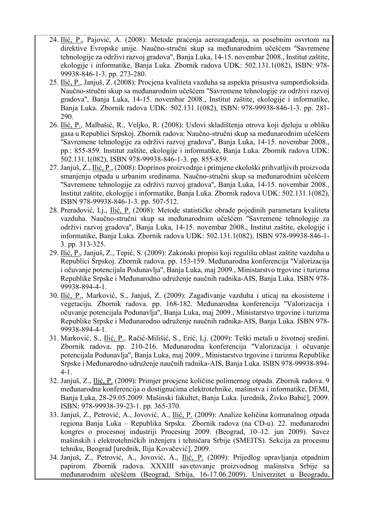- 24. Ilić, P., Pajović, A. (2008): Metode praćenja aerozagađenja, sa posebnim osvrtom na direktive Evropske unije. Naučno-stručni skup sa međunarodnim učešćem ''Savremene tehnologije za održivi razvoj gradova'', Banja Luka, 14-15. novembar 2008., Institut zaštite, ekologije i informatike, Banja Luka. Zbornik radova UDK: 502.131.1(082), ISBN: 978- 99938-846-1-3. pp. 273-280.
- 25. Ilić, P., Janjuš, Z. (2008): Procjena kvaliteta vazduha sa aspekta prisustva sumpordioksida. Naučno-stručni skup sa međunarodnim učešćem ''Savremene tehnologije za održivi razvoj gradova'', Banja Luka, 14-15. novembar 2008., Institut zaštite, ekologije i informatike, Banja Luka. Zbornik radova UDK: 502.131.1(082), ISBN: 978-99938-846-1-3. pp. 281- 290.
- 26. Ilić, P., Malbašić, R., Velјko, R. (2008): Uslovi skladištenja otrova koji djeluju u obliku gasa u Republici Srpskoj. Zbornik radova: Naučno-stručni skup sa međunarodnim učešćem ''Savremene tehnologije za održivi razvoj gradova'', Banja Luka, 14-15. novembar 2008., pp.: 855-859. Institut zaštite, ekologije i informatike, Banja Luka. Zbornik radova UDK: 502.131.1(082), ISBN 978-99938-846-1-3. pp. 855-859.
- 27. Janjuš, Z., Ilić, P., (2008): Doprinos proizvodnje i primjene ekološki prihvatlјivih proizvoda smanjenju otpada u urbanim sredinama. Naučno-stručni skup sa međunarodnim učešćem ''Savremene tehnologije za održivi razvoj gradova'', Banja Luka, 14-15. novembar 2008., Institut zaštite, ekologije i informatike, Banja Luka. Zbornik radova UDK: 502.131.1(082), ISBN 978-99938-846-1-3. pp. 507-512.
- 28. Preradović, Lj., Ilić, P. (2008): Metode statističke obrade pojedinih parametara kvaliteta vazduha. Naučno-stručni skup sa međunarodnim učešćem ''Savremene tehnologije za održivi razvoj gradova'', Banja Luka, 14-15. novembar 2008., Institut zaštite, ekologije i informatike, Banja Luka. Zbornik radova UDK: 502.131.1(082), ISBN 978-99938-846-1- 3. pp. 313-325.
- 29. Ilić, P., Janjuš, Z., Tepić, S. (2009): Zakonski propisi koji regulišu oblast zaštite vazduha u Republici Srpskoj. Zbornik radova. pp. 153-159. Međunarodna konferencija ''Valorizacija i očuvanje potencijala Podunavlјa'', Banja Luka, maj 2009., Ministarstvo trgovine i turizma Republike Srpske i Međunarodno udruženje naučnih radnika-AIS, Banja Luka. ISBN 978- 99938-894-4-1.
- 30. Ilić, P., Marković, S., Janjuš, Z. (2009): Zagađivanje vazduha i uticaj na ekosisteme i vegetaciju. Zbornik radova. pp. 168-182. Međunarodna konferencija ''Valorizacija i očuvanje potencijala Podunavlјa'', Banja Luka, maj 2009., Ministarstvo trgovine i turizma Republike Srpske i Međunarodno udruženje naučnih radnika-AIS, Banja Luka. ISBN 978- 99938-894-4-1.
- 31. Marković, S., Ilić, P., Račić-Milišić, S., Erić, Lj. (2009): Teški metali u životnoj sredini. Zbornik radova. pp. 210-216. Međunarodna konferencija ''Valorizacija i očuvanje potencijala Podunavlјa'', Banja Luka, maj 2009., Ministarstvo trgovine i turizma Republike Srpske i Međunarodno udruženje naučnih radnika-AIS, Banja Luka. ISBN 978-99938-894- 4-1.
- 32. Janjuš, Z., Ilić, P. (2009): Primjer procjene količine polimernog otpada. Zbornik radova. 9 međunarodna konferencija o dostignućima elektrotehnike, mašinstva i informatike, DEMI, Banja Luka, 28-29.05.2009. Mašinski fakultet, Banja Luka. [urednik, Živko Babić], 2009. ISBN: 978-99938-39-23-1. pp. 365-370.
- 33. Janjuš, Z., Petrović, A., Jovović, A., Ilić, P. (2009): Analize količina komunalnog otpada regiona Banja Luka – Republika Srpska. Zbornik radova (na CD-u). 22. međunarodni kongres o procesnoj industriji Procesing 2009. (Beograd, 10–12. jun 2009). Savez mašinskih i elektrotehničkih inženjera i tehničara Srbije (SMEITS). Sekcija za procesnu tehniku, Beograd [urednik, Ilija Kovačević], 2009.
- 34. Janjuš, Z., Petrović, A., Jovović, A., Ilić, P. (2009): Prijedlog upravlјanja otpadnim papirom. Zbornik radova. XXXIII savetovanje proizvodnog mašinstva Srbije sa međunarodnim učešćem (Beograd, Srbija, 16-17.06.2009). Univerzitet u Beogradu,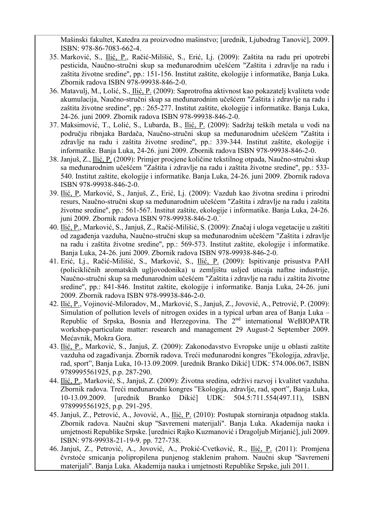Mašinski fakultet, Katedra za proizvodno mašinstvo; [urednik, Ljubodrag Tanović], 2009. ISBN: 978-86-7083-662-4.

- 35. Marković, S., Ilić, P., Račić-Milišić, S., Erić, Lj. (2009): Zaštita na radu pri upotrebi pesticida, Naučno-stručni skup sa međunarodnim učešćem "Zaštita i zdravlјe na radu i zaštita životne sredine'', pp.: 151-156. Institut zaštite, ekologije i informatike, Banja Luka. Zbornik radova ISBN 978-99938-846-2-0.
- 36. Matavulј, M., Lolić, S., Ilić, P. (2009): Saprotrofna aktivnost kao pokazatelј kvaliteta vode akumulacija, Naučno-stručni skup sa međunarodnim učešćem "Zaštita i zdravlјe na radu i zaštita životne sredine'', pp.: 265-277. Institut zaštite, ekologije i informatike. Banja Luka, 24-26. juni 2009. Zbornik radova ISBN 978-99938-846-2-0.
- 37. Maksimović, T., Lolić, S., Lubarda, B., Ilić, P. (2009): Sadržaj teških metala u vodi na području ribnjaka Bardača, Naučno-stručni skup sa međunarodnim učešćem "Zaštita i zdravlјe na radu i zaštita životne sredine'', pp.: 339-344. Institut zaštite, ekologije i informatike. Banja Luka, 24-26. juni 2009. Zbornik radova ISBN 978-99938-846-2-0.
- 38. Janjuš, Z., Ilić, P. (2009): Primjer procjene količine tekstilnog otpada, Naučno-stručni skup sa međunarodnim učešćem "Zaštita i zdravlјe na radu i zaštita životne sredine'', pp.: 533- 540. Institut zaštite, ekologije i informatike. Banja Luka, 24-26. juni 2009. Zbornik radova ISBN 978-99938-846-2-0.
- 39. Ilić, P, Marković, S., Janjuš, Z., Erić, Lj. (2009): Vazduh kao životna sredina i prirodni resurs, Naučno-stručni skup sa međunarodnim učešćem "Zaštita i zdravlјe na radu i zaštita životne sredine'', pp.: 561-567. Institut zaštite, ekologije i informatike. Banja Luka, 24-26. juni 2009. Zbornik radova ISBN 978-99938-846-2-0.`
- 40. Ilić, P., Marković, S., Janjuš, Z., Račić-Milišić, S. (2009): Značaj i uloga vegetacije u zaštiti od zagađenja vazduha, Naučno-stručni skup sa međunarodnim učešćem "Zaštita i zdravlјe na radu i zaštita životne sredine'', pp.: 569-573. Institut zaštite, ekologije i informatike. Banja Luka, 24-26. juni 2009. Zbornik radova ISBN 978-99938-846-2-0.
- 41. Erić, Lj., Račić-Milišić, S., Marković, S., Ilić, P. (2009): Ispitivanje prisustva PAH (policikličnih aromatskih uglјovodonika) u zemlјištu uslјed uticaja naftne industrije, Naučno-stručni skup sa međunarodnim učešćem "Zaštita i zdravlјe na radu i zaštita životne sredine'', pp.: 841-846. Institut zaštite, ekologije i informatike. Banja Luka, 24-26. juni 2009. Zbornik radova ISBN 978-99938-846-2-0.
- 42. Ilić, P., Vojinović-Miloradov, M., Marković, S., Janjuš, Z., Jovović, A., Petrović, P. (2009): Simulation of pollution levels of nitrogen oxides in a typical urban area of Banja Luka – Republic of Srpska, Bosnia and Herzegovina. The 2<sup>nd</sup> international WeBIOPATR workshop-particulate matter: research and management 29 August-2 September 2009. Mećavnik, Mokra Gora.
- 43. Ilić, P., Marković, S., Janjuš, Z. (2009): Zakonodavstvo Evropske unije u oblasti zaštite vazduha od zagađivanja. Zbornik radova. Treći međunarodni kongres "Ekologija, zdravlјe, rad, sport", Banja Luka, 10-13.09.2009. [urednik Branko Dikić] UDK: 574.006.067, ISBN 9789995561925, p.p. 287-290.
- 44. Ilić, P., Marković, S., Janjuš, Z. (2009): Životna sredina, održivi razvoj i kvalitet vazduha. Zbornik radova. Treći međunarodni kongres "Ekologija, zdravlјe, rad, sport", Banja Luka, 10-13.09.2009. [urednik Branko Dikić] UDK: 504.5:711.554(497.11), ISBN 9789995561925, p.p. 291-295.
- 45. Janjuš, Z., Petrović, A., Jovović, A., Ilić, P. (2010): Postupak storniranja otpadnog stakla. Zbornik radova. Naučni skup ''Savremeni materijali''. Banja Luka. Akademija nauka i umjetnosti Republike Srpske. [urednici Rajko Kuzmanović i Dragolјub Mirjanić], juli 2009. ISBN: 978-99938-21-19-9. pp. 727-738.
- 46. Janjuš, Z., Petrović, A., Jovović, A., Prokić-Cvetković, R., Ilić, P. (2011): Promjena čvrstoće smicanja polipropilena punjenog staklenim prahom. Naučni skup ''Savremeni materijali''. Banja Luka. Akademija nauka i umjetnosti Republike Srpske, juli 2011.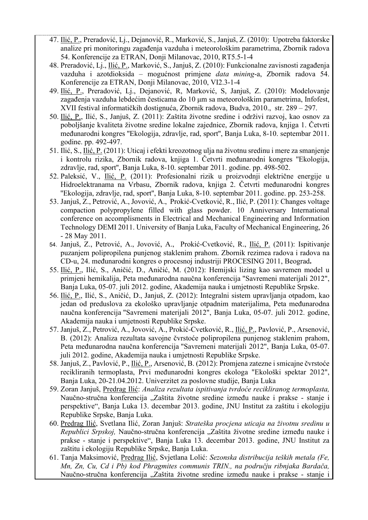- 47. Ilić, P., Preradović, Lj., Dejanović, R., Marković, S., Janjuš, Z. (2010): Upotreba faktorske analize pri monitoringu zagađenja vazduha i meteorološkim parametrima, Zbornik radova 54. Konferencije za ETRAN, Donji Milanovac, 2010, RT5.5-1-4
- 48. Preradović, Lj., Ilić, P., Marković, S., Janjuš, Z. (2010): Funkcionalne zavisnosti zagađenja vazduha i azotdioksida – mogućnost primjene *data mining*-a, Zbornik radova 54. Konferencije za ETRAN, Donji Milanovac, 2010, VI2.3-1-4
- 49. Ilić, P., Preradović, Lj., Dejanović, R, Marković, S, Janjuš, Z. (2010): Modelovanje zagađenja vazduha lebdećim česticama do 10 μm sa meteorološkim parametrima, Infofest, XVII festival informatičkih dostignuća, Zbornik radova, Budva, 2010., str. 289 – 297.
- 50. Ilić, P., Ilić, S., Janjuš, Z. (2011): Zaštita životne sredine i održivi razvoj, kao osnov za pobolјšanje kvaliteta životne sredine lokalne zajednice, Zbornik radova, knjiga 1. Četvrti međunarodni kongres ''Ekologija, zdravlјe, rad, sport'', Banja Luka, 8-10. septembar 2011. godine. pp. 492-497.
- 51. Ilić, S., Ilić, P. (2011): Uticaj i efekti kreozotnog ulјa na životnu sredinu i mere za smanjenje i kontrolu rizika, Zbornik radova, knjiga 1. Četvrti međunarodni kongres ''Ekologija, zdravlјe, rad, sport'', Banja Luka, 8-10. septembar 2011. godine. pp. 498-502.
- 52. Paleksić, V., Ilić, P. (2011): Profesionalni rizik u proizvodnji električne energije u Hidroelektranama na Vrbasu, Zbornik radova, knjiga 2. Četvrti međunarodni kongres ''Ekologija, zdravlјe, rad, sport'', Banja Luka, 8-10. septembar 2011. godine. pp. 253-258.
- 53. Janjuš, Z., Petrović, A., Jovović, A., Prokić-Cvetković, R., Ilić, P. (2011): Changes voltage compaction polypropylene filled with glass powder. 10 Anniversary International conference on accomplisments in Electrical and Mechanical Engineering and Information Technology DEMI 2011. University of Banja Luka, Faculty of Mechanical Engineering, 26 - 28 May 2011.
- 54. Janjuš, Z., Petrović, A., Jovović, A., Prokić-Cvetković, R., Ilić, P. (2011): Ispitivanje puzanjem polipropilena punjenog staklenim prahom. Zbornik rezimea radova i radova na CD-u, 24. međunarodni kongres o procesnoj industriji PROCESING 2011, Beograd**.**
- 55. Ilić, P., Ilić, S., Aničić, D., Aničić[, M. \(2012\): Hemijski](http://www.savremenimaterijali.info/sajt/doc/file/SM2012/ProgramSM2012.pdf) lizing kao savremen model u primjeni [hemikalija, Peta](http://www.savremenimaterijali.info/sajt/doc/file/SM2012/ProgramSM2012.pdf) međunarodna naučna konferencija "Savremeni materijali 2012", Banja Luka, 05-07. juli [2012. godine, Akademija](http://www.savremenimaterijali.info/sajt/doc/file/SM2012/ProgramSM2012.pdf) nauka i umjetnosti Republike Srpske.
- 56. Ilić, P., Ilić, S., Aničić, D., Janjuš[, Z. \(2012\): Integralni](http://www.savremenimaterijali.info/sajt/doc/file/SM2012/ProgramSM2012.pdf) sistem upravlјanja otpadom, kao jedan od preduslova za ekološko upravlјanje otpadnim [materijalima, Peta](http://www.savremenimaterijali.info/sajt/doc/file/SM2012/ProgramSM2012.pdf) međunarodna naučna konferencija "Savremeni materijali 2012", Banja [Luka, 05-07. juli](http://www.savremenimaterijali.info/sajt/doc/file/SM2012/ProgramSM2012.pdf) 2012. godine, [Akademija](http://www.savremenimaterijali.info/sajt/doc/file/SM2012/ProgramSM2012.pdf) nauka i umjetnosti Republike Srpske.
- 57. Janjuš, Z., Petrović, A., Jovović, A., Prokić-[Cvetković](http://www.savremenimaterijali.info/sajt/doc/file/SM2012/ProgramSM2012.pdf), R., Ilić, P., Pavlović, P., Arsenović, [B. \(2012\): Analiza](http://www.savremenimaterijali.info/sajt/doc/file/SM2012/ProgramSM2012.pdf) rezultata savojne čvrstoće polipropilena punjenog staklenim prahom, Peta međunarodna naučna konferencija "Savremeni materijali 2012", Banja [Luka, 05-07.](http://www.savremenimaterijali.info/sajt/doc/file/SM2012/ProgramSM2012.pdf)  juli [2012. godine, Akademija](http://www.savremenimaterijali.info/sajt/doc/file/SM2012/ProgramSM2012.pdf) nauka i umjetnosti Republike Srpske.
- 58. Janjuš, Z., Pavlović, P., Ilić, P., Arsenović, B. (2012): Promjena zatezne i smicajne čvrstoće recikliranih termoplasta, Prvi međunarodni kongres ekologa "Ekološki spektar 2012", Banja Luka, 20-21.04.2012. Univerzitet za poslovne studije, Banja Luka
- 59. Zoran Janjuš, Predrag Ilić: *Analiza rezultata ispitivanja tvrdoće recikliranog termoplasta,*  Naučno-stručna konferencija "Zaštita životne sredine između nauke i prakse - stanje i perspektive", Banja Luka 13. decembar 2013. godine, JNU Institut za zaštitu i ekologiju Republike Srpske, Banja Luka.
- 60. Predrag Ilić, Svetlana Ilić, Zoran Janjuš: *Strateška procjena uticaja na životnu sredinu u Republici Srpskoj,* Naučno-stručna konferencija "Zaštita životne sredine između nauke i prakse - stanje i perspektive", Banja Luka 13. decembar 2013. godine, JNU Institut za zaštitu i ekologiju Republike Srpske, Banja Luka.
- 61. Tanja Maksimović, Predrag Ilić, Svjetlana Lolić: *Sezonska distribucija teških metala (Fe, Mn, Zn, Cu, Cd i Pb) kod Phragmites communis TRIN., na području ribnjaka Bardača,*  Naučno-stručna konferencija "Zaštita životne sredine između nauke i prakse - stanje i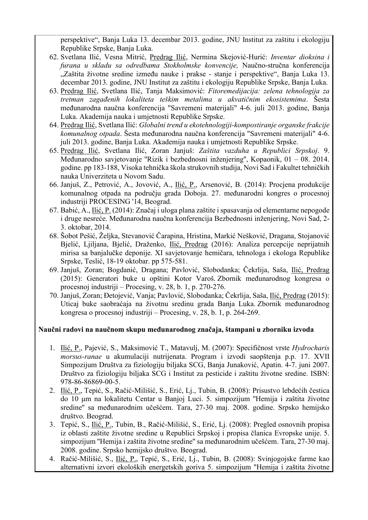perspektive", Banja Luka 13. decembar 2013. godine, JNU Institut za zaštitu i ekologiju Republike Srpske, Banja Luka.

- 62. Svetlana Ilić, Vesna Mitrić, Predrag Ilić, Nermina Skejović-Hurić: *Inventar dioksina i furana u skladu sa odredbama Stokholmske konvencije,* Naučno-stručna konferencija "Zaštita životne sredine između nauke i prakse - stanje i perspektive", Banja Luka 13. decembar 2013. godine, JNU Institut za zaštitu i ekologiju Republike Srpske, Banja Luka.
- 63. Predrag Ilić, Svetlana Ilić, Tanja Maksimović: *[Fitoremedijacija: zelena](http://ekonferencije.com/sr/rad/fitoremedijacija-zelena-tehnologija-za-tretman-zaga-enih-lokaliteta-te-kim-metalima-u-akvati-nim-ekosistemima/2263) tehnologija za tretman zagađenih lokaliteta teškim metalima u akvatičnim [ekosistemima](http://ekonferencije.com/sr/rad/fitoremedijacija-zelena-tehnologija-za-tretman-zaga-enih-lokaliteta-te-kim-metalima-u-akvati-nim-ekosistemima/2263)*. Šesta međunarodna naučna konferencija "Savremeni materijali" 4-6. juli 2013. godine, Banja Luka. Akademija nauka i umjetnosti Republike Srpske.
- 64. Predrag Ilić, Svetlana Ilić: *Globalni trend u [ekotehnologiji-kompostiranje](http://ekonferencije.com/sr/rad/globalni-trend-u-ekotehnologiji-kompostiranje-organske-frakcije-komunalnog-otpada/2264) organske frakcije [komunalnog](http://ekonferencije.com/sr/rad/globalni-trend-u-ekotehnologiji-kompostiranje-organske-frakcije-komunalnog-otpada/2264) otpada*. Šesta međunarodna naučna konferencija "Savremeni materijali" 4-6. juli 2013. godine, Banja Luka. Akademija nauka i umjetnosti Republike Srpske.
- 65. Predrag Ilić, Svetlana Ilić, Zoran Janjuš: *Zaštita vazduha u Republici Srpskoj*. 9. Međunarodno savjetovanje ''Rizik i bezbednosni inženjering'', Kopaonik, 01 – 08. 2014. godine. pp 183-188, Visoka tehnička škola strukovnih studija, Novi Sad i Fakultet tehničkih nauka Univerziteta u Novom Sadu.
- 66. Janjuš, Z., Petrović, A., Jovović, A., Ilić, P., Arsenović, B. (2014): Procjena produkcije komunalnog otpada na području grada Doboja. 27. međunarodni kongres o procesnoj industriji PROCESING '14, Beograd.
- 67. Babić, A., Ilić, P. (2014): Značaj i uloga plana zaštite i spasavanja od elementarne nepogode i druge nesreće. Međunarodna naučna konferencija Bezbednosni inženjering, Novi Sad, 2- 3. oktobar, 2014.
- 68. Šobot Pešić, Želјka, Stevanović Čarapina, Hristina, Markić Nešković, Dragana, Stojanović Bjelić, Ljilјana, Bjelić, Draženko, Ilić, Predrag (2016): Analiza percepcije neprijatnih mirisa sa banjalučke deponije. XI savjetovanje hemičara, tehnologa i ekologa Republike Srpske, Teslić, 18-19 oktobar. pp 575-581.
- 69. Janjuš, Zoran; Bogdanić, Dragana; Pavlović, Slobodanka; Čekrlija, Saša, Ilić, Predrag (2015): Generatori buke u opštini Kotor Varoš. Zbornik međunarodnog kongresa o procesnoj industriji – Procesing, v. 28, b. 1, p. 270-276.
- 70. Janjuš, Zoran; Đetojević, Vanja; Pavlović, Slobodanka; Čekrlija, Saša, Ilić, Predrag (2015): Uticaj buke saobraćaja na životnu sredinu grada Banja Luka. Zbornik međunarodnog kongresa o procesnoj industriji – Procesing, v. 28, b. 1, p. 264-269.

#### **Naučni radovi na naučnom skupu međunarodnog značaja, štampani u zborniku izvoda**

- 1. Ilić, P., Pajević, S., Maksimović T., Matavulј, M. (2007): Specifičnost vrste *Hydrocharis morsus-ranae* u akumulaciji nutrijenata. Program i izvodi saopštenja p.p. 17. XVII Simpozijum Društva za fiziologiju bilјaka SCG, Banja Junaković, Apatin. 4-7. juni 2007. Društvo za fiziologiju bilјaka SCG i Institut za pesticide i zaštitu životne sredine. ISBN: 978-86-86869-00-5.
- 2. Ilić, P., Tepić, S., Račić-Milišić, S., Erić, Lj., Tubin, B. (2008): Prisustvo lebdećih čestica do 10 μm na lokalitetu Centar u Banjoj Luci. 5. simpozijum ''Hemija i zaštita životne sredine'' sa međunarodnim učešćem. Tara, 27-30 maj. 2008. godine. Srpsko hemijsko društvo. Beograd.
- 3. Tepić, S., Ilić, P., Tubin, B., Račić-Milišić, S., Erić, Lj. (2008): Pregled osnovnih propisa iz oblasti zaštite životne sredine u Republici Srpskoj i propisa članica Evropske unije. 5. simpozijum ''Hemija i zaštita životne sredine'' sa međunarodnim učešćem. Tara, 27-30 maj. 2008. godine. Srpsko hemijsko društvo. Beograd.
- 4. Račić-Milišić, S., Ilić, P., Tepić, S., Erić, Lj., Tubin, B. (2008): Svinjogojske farme kao alternativni izvori ekoloških energetskih goriva 5. simpozijum ''Hemija i zaštita životne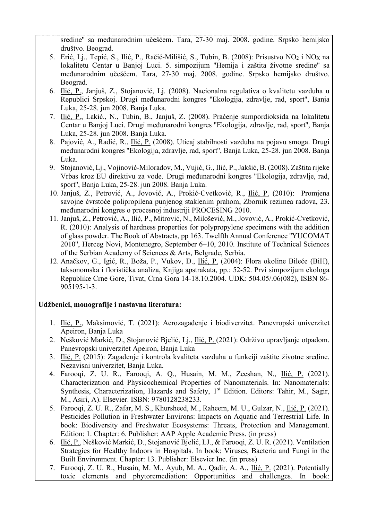sredine'' sa međunarodnim učešćem. Tara, 27-30 maj. 2008. godine. Srpsko hemijsko društvo. Beograd.

- 5. Erić, Lj., Tepić, S., Ilić, P., Račić-Milišić, S., Tubin, B. (2008): Prisustvo NO<sub>2</sub> i NO<sub>X</sub> na lokalitetu Centar u Banjoj Luci. 5. simpozijum ''Hemija i zaštita životne sredine'' sa međunarodnim učešćem. Tara, 27-30 maj. 2008. godine. Srpsko hemijsko društvo. Beograd.
- 6. Ilić, P., Janjuš, Z., Stojanović, Lj. (2008). Nacionalna regulativa o kvalitetu vazduha u Republici Srpskoj. Drugi međunarodni kongres ''Ekologija, zdravlјe, rad, sport'', Banja Luka, 25-28. jun 2008. Banja Luka.
- 7. Ilić, P., Lakić., N., Tubin, B., Janjuš, Z. (2008). Praćenje sumpordioksida na lokalitetu Centar u Banjoj Luci. Drugi međunarodni kongres ''Ekologija, zdravlјe, rad, sport'', Banja Luka, 25-28. jun 2008. Banja Luka.
- 8. Pajović, A., Radić, R., Ilić, P. (2008). Uticaj stabilnosti vazduha na pojavu smoga. Drugi međunarodni kongres ''Ekologija, zdravlјe, rad, sport'', Banja Luka, 25-28. jun 2008. Banja Luka.
- 9. Stojanović, Lj., Vojinović-Miloradov, M., Vujić, G., Ilić, P., Jakšić, B. (2008). Zaštita rijeke Vrbas kroz EU direktivu za vode. Drugi međunarodni kongres ''Ekologija, zdravlјe, rad, sport'', Banja Luka, 25-28. jun 2008. Banja Luka.
- 10. Janjuš, Z., Petrović, A., Jovović, A., Prokić-Cvetković, R., Ilić, P. (2010): Promjena savojne čvrstoće polipropilena punjenog staklenim prahom, Zbornik rezimea radova, 23. međunarodni kongres o procesnoj industriji PROCESING 2010.
- 11. Janjuš, Z., Petrović, A., Ilić, P., Mitrović, N., Milošević, M., Jovović, A., Prokić-Cvetković, R. (2010): Analysis of hardness properties for polypropylene specimens with the addition of glass powder. The Book of Abstracts, pp 163. Twelfth Annual Conference ''YUCOMAT 2010'', Herceg Novi, Montenegro, September 6–10, 2010. Institute of Technical Sciences of the Serbian Academy of Sciences & Arts, Belgrade, Serbia.
- 12. Anačkov, G., Igić, R., Boža, P., Vukov, D., Ilić, P. (2004): Flora okoline Bileće (BiH), taksonomska i floristička analiza, Knjiga apstrakata, pp.: 52-52. Prvi simpozijum ekologa Republike Crne Gore, Tivat, Crna Gora 14-18.10.2004. UDK: 504.05/.06(082), ISBN 86- 905195-1-3.

#### **Udžbenici, monografije i nastavna literatura:**

- 1. Ilić, P., Maksimović, T. (2021): Aerozagađenje i biodiverzitet. Panevropski univerzitet Apeiron, Banja Luka
- 2. Nešković Markić, D., Stojanović Bjelić, Lj., Ilić, P. (2021): Održivo upravlјanje otpadom. Panevropski univerzitet Apeiron, Banja Luka
- 3. Ilić, P. (2015): Zagađenje i kontrola kvaliteta vazduha u funkciji zaštite životne sredine. Nezavisni univerzitet, Banja Luka.
- 4. Farooqi, Z. U. R., Farooqi, A. Q., Husain, M. M., Zeeshan, N., Ilić, P. (2021). Characterization and Physicochemical Properties of Nanomaterials. In: Nanomaterials: Synthesis, Characterization, Hazards and Safety, 1<sup>st</sup> Edition. Editors: Tahir, M., Sagir, M., Asiri, A). Elsevier. ISBN: 9780128238233.
- 5. Farooqi, Z. U. R., Zafar, M. S., [Khursheed,](https://www.researchgate.net/scientific-contributions/Moaz-Khursheed-2193582403) M., [Raheem,](https://www.researchgate.net/scientific-contributions/Muhammad-Usama-Raheem-2193625575) M. U., Gulzar, N., Ilić, P. (2021). Pesticides Pollution in Freshwater Environs: Impacts on Aquatic and Terrestrial Life. In book: Biodiversity and Freshwater Ecosystems: Threats, Protection and Management. Edition: 1. Chapter: 6. Publisher: AAP Apple Academic Press. (in press)
- 6. Ilić, P., Nešković Markić, D., Stojanović Bjelić, LJ., & Farooqi, Z. U. R. (2021). Ventilation Strategies for Healthy Indoors in Hospitals. In book: Viruses, Bacteria and Fungi in the Built Environment. Chapter: 13. Publisher: Elsevier Inc. (in press)
- 7. Farooqi, Z. U. R., Husain, M. M., Ayub, M. A., Qadir, A. A., Ilić, P. (2021). Potentially toxic elements and phytoremediation: Opportunities and challenges. In book: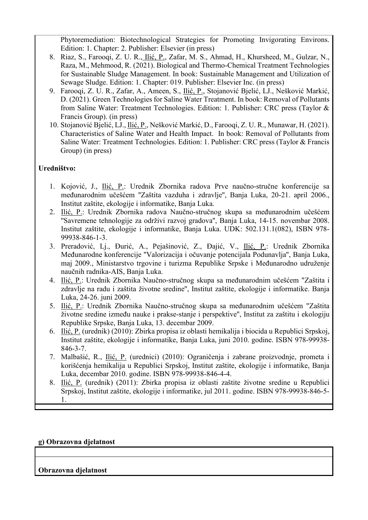Phytoremediation: Biotechnological Strategies for Promoting Invigorating Environs. Edition: 1. Chapter: 2. Publisher: Elsevier (in press)

- 8. Riaz, S., Farooqi, Z. U. R., Ilić, P., Zafar, M. S., Ahmad, H., [Khursheed,](https://www.researchgate.net/scientific-contributions/Moaz-Khursheed-2193582403) M., [Gulzar,](https://www.researchgate.net/scientific-contributions/Nouman-Gulzar-2193622580) N., [Raza,](https://www.researchgate.net/scientific-contributions/Mohsin-Raza-2193702380) M., [Mehmood,](https://www.researchgate.net/scientific-contributions/Rizwan-Mehmood-2195496773) R. (2021). Biological and Thermo-Chemical Treatment Technologies for Sustainable Sludge Management. In book: Sustainable Management and Utilization of Sewage Sludge. Edition: 1. Chapter: 019. Publisher: Elsevier Inc. (in press)
- 9. Farooqi, Z. U. R., Zafar, A., Ameen, S., Ilić, P., Stojanović Bjelić, LJ., Nešković Markić, D. (2021). Green Technologies for Saline Water Treatment. In book: Removal of Pollutants from Saline Water: Treatment Technologies. Edition: 1. Publisher: CRC press (Taylor & Francis Group). (in press)
- 10. Stojanović Bjelić, LJ., *Ilić, P., Nešković Markić, D., Farooqi, Z. U. R., Munawar, H. (2021).* Characteristics of Saline Water and Health Impact. In book: Removal of Pollutants from Saline Water: Treatment Technologies. Edition: 1. Publisher: CRC press (Taylor & Francis Group) (in press)

### **Uredništvo:**

- 1. Kojović, J., Ilić, P.: Urednik Zbornika radova Prve naučno-stručne konferencije sa međunarodnim učešćem ''Zaštita vazduha i zdravlјe'', Banja Luka, 20-21. april 2006., Institut zaštite, ekologije i informatike, Banja Luka.
- 2. Ilić, P.: Urednik Zbornika radova Naučno-stručnog skupa sa međunarodnim učešćem ''Savremene tehnologije za održivi razvoj gradova'', Banja Luka, 14-15. novembar 2008. Institut zaštite, ekologije i informatike, Banja Luka. UDK: 502.131.1(082), ISBN 978- 99938-846-1-3.
- 3. Preradović, Lj., Đurić, A., Pejašinović, Z., Đajić, V., Ilić, P.: Urednik Zbornika Međunarodne konferencije ''Valorizacija i očuvanje potencijala Podunavlјa'', Banja Luka, maj 2009., Ministarstvo trgovine i turizma Republike Srpske i Međunarodno udruženje naučnih radnika-AIS, Banja Luka.
- 4. Ilić, P.: Urednik Zbornika Naučno-stručnog skupa sa međunarodnim učešćem "Zaštita i zdravlјe na radu i zaštita životne sredine'', Institut zaštite, ekologije i informatike. Banja Luka, 24-26. juni 2009.
- 5. Ilić, P.: Urednik Zbornika Naučno-stručnog skupa sa međunarodnim učešćem "Zaštita životne sredine između nauke i prakse-stanje i perspektive'', Institut za zaštitu i ekologiju Republike Srpske, Banja Luka, 13. decembar 2009.
- 6. Ilić, P. (urednik) (2010): Zbirka propisa iz oblasti hemikalija i biocida u Republici Srpskoj, Institut zaštite, ekologije i informatike, Banja Luka, juni 2010. godine. ISBN 978-99938- 846-3-7.
- 7. Malbašić, R., Ilić, P. (urednici) (2010): Ograničenja i zabrane proizvodnje, prometa i korišćenja hemikalija u Republici Srpskoj, Institut zaštite, ekologije i informatike, Banja Luka, decembar 2010. godine. ISBN 978-99938-846-4-4.
- 8. Ilić, P. (urednik) (2011): Zbirka propisa iz oblasti zaštite životne sredine u Republici Srpskoj, Institut zaštite, ekologije i informatike, jul 2011. godine. ISBN 978-99938-846-5- 1.

#### **g) Obrazovna djelatnost**

#### **Obrazovna djelatnost**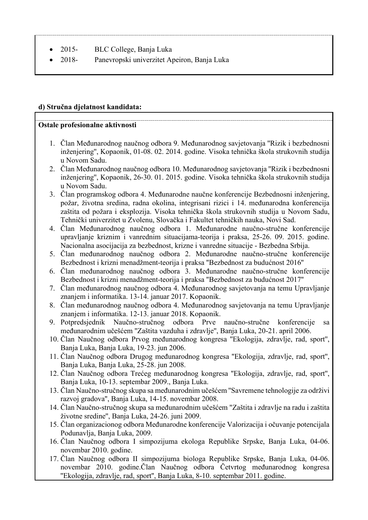- 2015- BLC College, Banja Luka
- 2018- Panevropski univerzitet Apeiron, Banja Luka

#### **d) Stručna djelatnost kandidata:**

#### **Ostale profesionalne aktivnosti**

- 1. Član Međunarodnog naučnog odbora 9. Međunarodnog savjetovanja ''Rizik i bezbednosni inženjering'', Kopaonik, 01-08. 02. 2014. godine. Visoka tehnička škola strukovnih studija u Novom Sadu.
- 2. Član Međunarodnog naučnog odbora 10. Međunarodnog savjetovanja ''Rizik i bezbednosni inženjering'', Kopaonik, 26-30. 01. 2015. godine. Visoka tehnička škola strukovnih studija u Novom Sadu.
- 3. Član programskog odbora 4. Međunarodne naučne konferencije Bezbednosni inženjering, požar, životna sredina, radna okolina, integrisani rizici i 14. međunarodna konferencija zaštita od požara i eksplozija. Visoka tehnička škola strukovnih studija u Novom Sadu, Tehnički univerzitet u Zvolenu, Slovačka i Fakultet tehničkih nauka, Novi Sad.
- 4. Član Međunarodnog naučnog odbora 1. Međunarodne naučno-stručne konferencije upravlјanje kriznim i vanrednim situacijama-teorija i praksa, 25-26. 09. 2015. godine. Nacionalna asocijacija za bezbednost, krizne i vanredne situacije - Bezbedna Srbija.
- 5. Član međunarodnog naučnog odbora 2. Međunarodne naučno-stručne konferencije Bezbednost i krizni menadžment-teorija i praksa ''Bezbednost za budućnost 2016''
- 6. Član međunarodnog naučnog odbora 3. Međunarodne naučno-stručne konferencije Bezbednost i krizni menadžment-teorija i praksa ''Bezbednost za budućnost 2017''
- 7. Član međunarodnog naučnog odbora 4. Međunarodnog savjetovanja na temu Upravlјanje znanjem i informatika. 13-14. januar 2017. Kopaonik.
- 8. Član međunarodnog naučnog odbora 4. Međunarodnog savjetovanja na temu Upravlјanje znanjem i informatika. 12-13. januar 2018. Kopaonik.
- 9. Potpredsjednik Naučno-stručnog odbora Prve naučno-stručne konferencije sa međunarodnim učešćem ''Zaštita vazduha i zdravlјe'', Banja Luka, 20-21. april 2006.
- 10. Član Naučnog odbora Prvog međunarodnog kongresa ''Ekologija, zdravlјe, rad, sport'', Banja Luka, Banja Luka, 19-23. jun 2006.
- 11. Član Naučnog odbora Drugog međunarodnog kongresa ''Ekologija, zdravlјe, rad, sport'', Banja Luka, Banja Luka, 25-28. jun 2008.
- 12. Član Naučnog odbora Trećeg međunarodnog kongresa ''Ekologija, zdravlјe, rad, sport'', Banja Luka, 10-13. septembar 2009., Banja Luka.
- 13. Član Naučno-stručnog skupa sa međunarodnim učešćem ''Savremene tehnologije za održivi razvoj gradova'', Banja Luka, 14-15. novembar 2008.
- 14. Član Naučno-stručnog skupa sa međunarodnim učešćem "Zaštita i zdravlјe na radu i zaštita životne sredine'', Banja Luka, 24-26. juni 2009.
- 15. Član organizacionog odbora Međunarodne konferencije Valorizacija i očuvanje potencijala Podunavlјa, Banja Luka, 2009.
- 16. Član Naučnog odbora I simpozijuma ekologa Republike Srpske, Banja Luka, 04-06. novembar 2010. godine.
- 17. Član Naučnog odbora II simpozijuma biologa Republike Srpske, Banja Luka, 04-06. novembar 2010. godine.Član Naučnog odbora Četvrtog međunarodnog kongresa ''Ekologija, zdravlјe, rad, sport'', Banja Luka, 8-10. septembar 2011. godine.